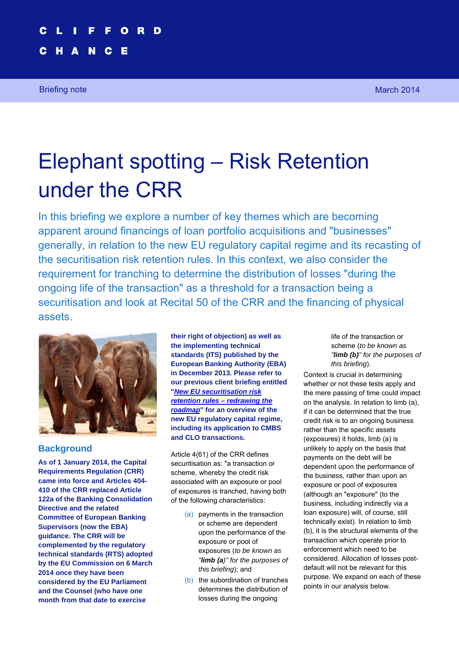Briefing note March 2014 **March 2014** 

# Elephant spotting – Risk Retention under the CRR

In this briefing we explore a number of key themes which are becoming apparent around financings of loan portfolio acquisitions and "businesses" generally, in relation to the new EU regulatory capital regime and its recasting of the securitisation risk retention rules. In this context, we also consider the requirement for tranching to determine the distribution of losses "during the ongoing life of the transaction" as a threshold for a transaction being a securitisation and look at Recital 50 of the CRR and the financing of physical assets.



# **Background**

**As of 1 January 2014, the Capital Requirements Regulation (CRR) came into force and Articles 404- 410 of the CRR replaced Article 122a of the Banking Consolidation Directive and the related Committee of European Banking Supervisors (now the EBA) guidance. The CRR will be complemented by the regulatory technical standards (RTS) adopted by the EU Commission on 6 March 2014 once they have been considered by the EU Parliament and the Counsel (who have one month from that date to exercise** 

**their right of objection) as well as the implementing technical standards (ITS) published by the European Banking Authority (EBA) in December 2013. Please refer to our previous client briefing entitled "***New EU securitisation risk [retention rules – redrawing the](http://www.cliffordchance.com/briefings/2014/02/new_eu_securitisationriskretentionrules.html) roadmap***" for an overview of the new EU regulatory capital regime, including its application to CMBS and CLO transactions.** 

Article 4(61) of the CRR defines securitisation as: "a transaction or scheme, whereby the credit risk associated with an exposure or pool of exposures is tranched, having both of the following characteristics:

- (a) payments in the transaction or scheme are dependent upon the performance of the exposure or pool of exposures (*to be known as "limb (a)" for the purposes of this briefing*); and
- (b) the subordination of tranches determines the distribution of losses during the ongoing

life of the transaction or scheme (*to be known as "limb (b)" for the purposes of this briefing*).

Context is crucial in determining whether or not these tests apply and the mere passing of time could impact on the analysis. In relation to limb (a), if it can be determined that the true credit risk is to an ongoing business rather than the specific assets (exposures) it holds, limb (a) is unlikely to apply on the basis that payments on the debt will be dependent upon the performance of the business, rather than upon an exposure or pool of exposures (although an "exposure" (to the business, including indirectly via a loan exposure) will, of course, still technically exist). In relation to limb (b), it is the structural elements of the transaction which operate prior to enforcement which need to be considered. Allocation of losses postdefault will not be relevant for this purpose. We expand on each of these points in our analysis below.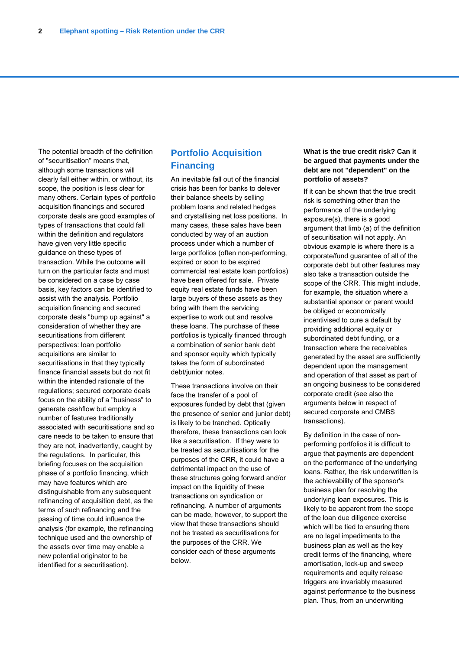The potential breadth of the definition of "securitisation" means that, although some transactions will clearly fall either within, or without, its scope, the position is less clear for many others. Certain types of portfolio acquisition financings and secured corporate deals are good examples of types of transactions that could fall within the definition and regulators have given very little specific guidance on these types of transaction. While the outcome will turn on the particular facts and must be considered on a case by case basis, key factors can be identified to assist with the analysis. Portfolio acquisition financing and secured corporate deals "bump up against" a consideration of whether they are securitisations from different perspectives: loan portfolio acquisitions are similar to securitisations in that they typically finance financial assets but do not fit within the intended rationale of the regulations; secured corporate deals focus on the ability of a "business" to generate cashflow but employ a number of features traditionally associated with securitisations and so care needs to be taken to ensure that they are not, inadvertently, caught by the regulations. In particular, this briefing focuses on the acquisition phase of a portfolio financing, which may have features which are distinguishable from any subsequent refinancing of acquisition debt, as the terms of such refinancing and the passing of time could influence the analysis (for example, the refinancing technique used and the ownership of the assets over time may enable a new potential originator to be identified for a securitisation).

### **Portfolio Acquisition Financing**

An inevitable fall out of the financial crisis has been for banks to delever their balance sheets by selling problem loans and related hedges and crystallising net loss positions. In many cases, these sales have been conducted by way of an auction process under which a number of large portfolios (often non-performing, expired or soon to be expired commercial real estate loan portfolios) have been offered for sale. Private equity real estate funds have been large buyers of these assets as they bring with them the servicing expertise to work out and resolve these loans. The purchase of these portfolios is typically financed through a combination of senior bank debt and sponsor equity which typically takes the form of subordinated debt/junior notes.

These transactions involve on their face the transfer of a pool of exposures funded by debt that (given the presence of senior and junior debt) is likely to be tranched. Optically therefore, these transactions can look like a securitisation. If they were to be treated as securitisations for the purposes of the CRR, it could have a detrimental impact on the use of these structures going forward and/or impact on the liquidity of these transactions on syndication or refinancing. A number of arguments can be made, however, to support the view that these transactions should not be treated as securitisations for the purposes of the CRR. We consider each of these arguments below.

#### **What is the true credit risk? Can it be argued that payments under the debt are not "dependent" on the portfolio of assets?**

If it can be shown that the true credit risk is something other than the performance of the underlying exposure(s), there is a good argument that limb (a) of the definition of securitisation will not apply. An obvious example is where there is a corporate/fund guarantee of all of the corporate debt but other features may also take a transaction outside the scope of the CRR. This might include, for example, the situation where a substantial sponsor or parent would be obliged or economically incentivised to cure a default by providing additional equity or subordinated debt funding, or a transaction where the receivables generated by the asset are sufficiently dependent upon the management and operation of that asset as part of an ongoing business to be considered corporate credit (see also the arguments below in respect of secured corporate and CMBS transactions).

By definition in the case of nonperforming portfolios it is difficult to argue that payments are dependent on the performance of the underlying loans. Rather, the risk underwritten is the achievability of the sponsor's business plan for resolving the underlying loan exposures. This is likely to be apparent from the scope of the loan due diligence exercise which will be tied to ensuring there are no legal impediments to the business plan as well as the key credit terms of the financing, where amortisation, lock-up and sweep requirements and equity release triggers are invariably measured against performance to the business plan. Thus, from an underwriting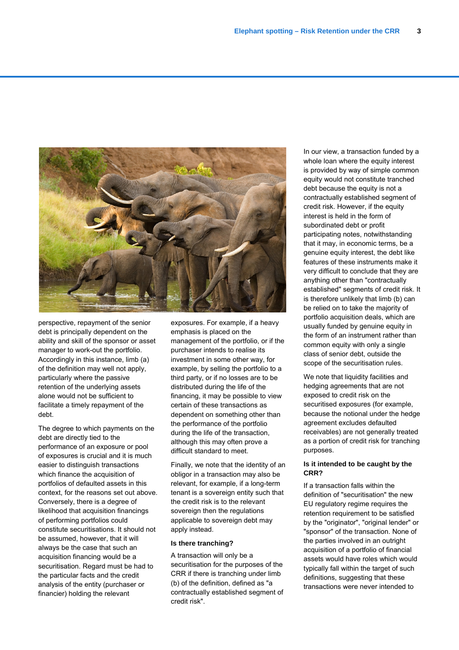

perspective, repayment of the senior debt is principally dependent on the ability and skill of the sponsor or asset manager to work-out the portfolio. Accordingly in this instance, limb (a) of the definition may well not apply, particularly where the passive retention of the underlying assets alone would not be sufficient to facilitate a timely repayment of the debt.

The degree to which payments on the debt are directly tied to the performance of an exposure or pool of exposures is crucial and it is much easier to distinguish transactions which finance the acquisition of portfolios of defaulted assets in this context, for the reasons set out above. Conversely, there is a degree of likelihood that acquisition financings of performing portfolios could constitute securitisations. It should not be assumed, however, that it will always be the case that such an acquisition financing would be a securitisation. Regard must be had to the particular facts and the credit analysis of the entity (purchaser or financier) holding the relevant

exposures. For example, if a heavy emphasis is placed on the management of the portfolio, or if the purchaser intends to realise its investment in some other way, for example, by selling the portfolio to a third party, or if no losses are to be distributed during the life of the financing, it may be possible to view certain of these transactions as dependent on something other than the performance of the portfolio during the life of the transaction, although this may often prove a difficult standard to meet.

Finally, we note that the identity of an obligor in a transaction may also be relevant, for example, if a long-term tenant is a sovereign entity such that the credit risk is to the relevant sovereign then the regulations applicable to sovereign debt may apply instead.

#### **Is there tranching?**

A transaction will only be a securitisation for the purposes of the CRR if there is tranching under limb (b) of the definition, defined as "a contractually established segment of credit risk".

In our view, a transaction funded by a whole loan where the equity interest is provided by way of simple common equity would not constitute tranched debt because the equity is not a contractually established segment of credit risk. However, if the equity interest is held in the form of subordinated debt or profit participating notes, notwithstanding that it may, in economic terms, be a genuine equity interest, the debt like features of these instruments make it very difficult to conclude that they are anything other than "contractually established" segments of credit risk. It is therefore unlikely that limb (b) can be relied on to take the majority of portfolio acquisition deals, which are usually funded by genuine equity in the form of an instrument rather than common equity with only a single class of senior debt, outside the scope of the securitisation rules.

We note that liquidity facilities and hedging agreements that are not exposed to credit risk on the securitised exposures (for example, because the notional under the hedge agreement excludes defaulted receivables) are not generally treated as a portion of credit risk for tranching purposes.

#### **Is it intended to be caught by the CRR?**

If a transaction falls within the definition of "securitisation" the new EU regulatory regime requires the retention requirement to be satisfied by the "originator", "original lender" or "sponsor" of the transaction. None of the parties involved in an outright acquisition of a portfolio of financial assets would have roles which would typically fall within the target of such definitions, suggesting that these transactions were never intended to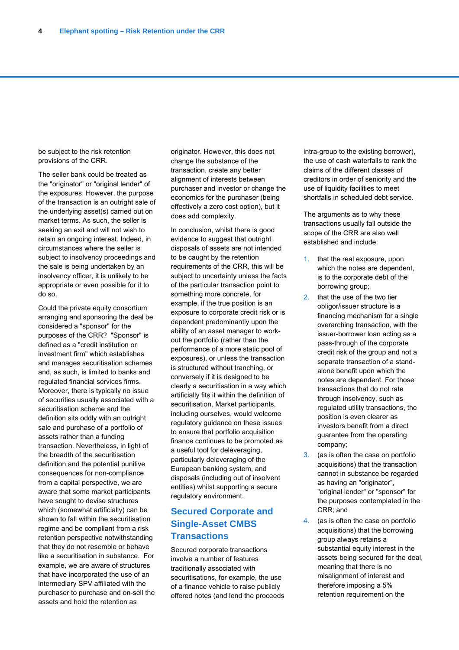be subject to the risk retention provisions of the CRR.

The seller bank could be treated as the "originator" or "original lender" of the exposures. However, the purpose of the transaction is an outright sale of the underlying asset(s) carried out on market terms. As such, the seller is seeking an exit and will not wish to retain an ongoing interest. Indeed, in circumstances where the seller is subject to insolvency proceedings and the sale is being undertaken by an insolvency officer, it is unlikely to be appropriate or even possible for it to do so.

Could the private equity consortium arranging and sponsoring the deal be considered a "sponsor" for the purposes of the CRR? "Sponsor" is defined as a "credit institution or investment firm" which establishes and manages securitisation schemes and, as such, is limited to banks and regulated financial services firms. Moreover, there is typically no issue of securities usually associated with a securitisation scheme and the definition sits oddly with an outright sale and purchase of a portfolio of assets rather than a funding transaction. Nevertheless, in light of the breadth of the securitisation definition and the potential punitive consequences for non-compliance from a capital perspective, we are aware that some market participants have sought to devise structures which (somewhat artificially) can be shown to fall within the securitisation regime and be compliant from a risk retention perspective notwithstanding that they do not resemble or behave like a securitisation in substance. For example, we are aware of structures that have incorporated the use of an intermediary SPV affiliated with the purchaser to purchase and on-sell the assets and hold the retention as

originator. However, this does not change the substance of the transaction, create any better alignment of interests between purchaser and investor or change the economics for the purchaser (being effectively a zero cost option), but it does add complexity.

In conclusion, whilst there is good evidence to suggest that outright disposals of assets are not intended to be caught by the retention requirements of the CRR, this will be subject to uncertainty unless the facts of the particular transaction point to something more concrete, for example, if the true position is an exposure to corporate credit risk or is dependent predominantly upon the ability of an asset manager to workout the portfolio (rather than the performance of a more static pool of exposures), or unless the transaction is structured without tranching, or conversely if it is designed to be clearly a securitisation in a way which artificially fits it within the definition of securitisation. Market participants, including ourselves, would welcome regulatory guidance on these issues to ensure that portfolio acquisition finance continues to be promoted as a useful tool for deleveraging, particularly deleveraging of the European banking system, and disposals (including out of insolvent entities) whilst supporting a secure regulatory environment.

# **Secured Corporate and Single-Asset CMBS Transactions**

Secured corporate transactions involve a number of features traditionally associated with securitisations, for example, the use of a finance vehicle to raise publicly offered notes (and lend the proceeds

intra-group to the existing borrower), the use of cash waterfalls to rank the claims of the different classes of creditors in order of seniority and the use of liquidity facilities to meet shortfalls in scheduled debt service.

The arguments as to why these transactions usually fall outside the scope of the CRR are also well established and include:

- 1. that the real exposure, upon which the notes are dependent, is to the corporate debt of the borrowing group;
- 2. that the use of the two tier obligor/issuer structure is a financing mechanism for a single overarching transaction, with the issuer-borrower loan acting as a pass-through of the corporate credit risk of the group and not a separate transaction of a standalone benefit upon which the notes are dependent. For those transactions that do not rate through insolvency, such as regulated utility transactions, the position is even clearer as investors benefit from a direct guarantee from the operating company;
- 3. (as is often the case on portfolio acquisitions) that the transaction cannot in substance be regarded as having an "originator", "original lender" or "sponsor" for the purposes contemplated in the CRR; and
- 4. (as is often the case on portfolio acquisitions) that the borrowing group always retains a substantial equity interest in the assets being secured for the deal, meaning that there is no misalignment of interest and therefore imposing a 5% retention requirement on the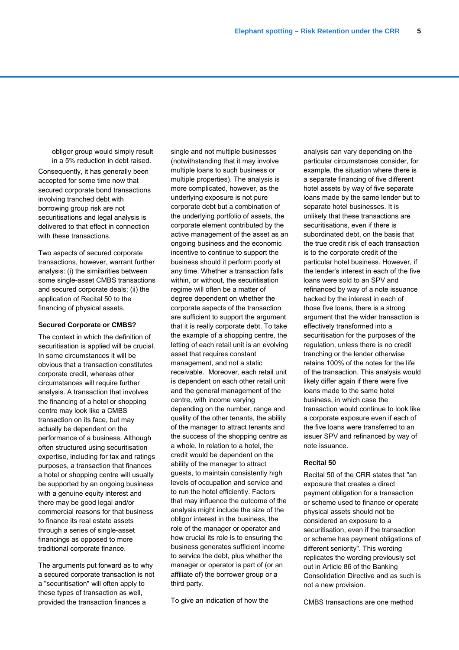obligor group would simply result in a 5% reduction in debt raised.

Consequently, it has generally been accepted for some time now that secured corporate bond transactions involving tranched debt with borrowing group risk are not securitisations and legal analysis is delivered to that effect in connection with these transactions.

Two aspects of secured corporate transactions, however, warrant further analysis: (i) the similarities between some single-asset CMBS transactions and secured corporate deals; (ii) the application of Recital 50 to the financing of physical assets.

#### **Secured Corporate or CMBS?**

The context in which the definition of securitisation is applied will be crucial. In some circumstances it will be obvious that a transaction constitutes corporate credit, whereas other circumstances will require further analysis. A transaction that involves the financing of a hotel or shopping centre may look like a CMBS transaction on its face, but may actually be dependent on the performance of a business. Although often structured using securitisation expertise, including for tax and ratings purposes, a transaction that finances a hotel or shopping centre will usually be supported by an ongoing business with a genuine equity interest and there may be good legal and/or commercial reasons for that business to finance its real estate assets through a series of single-asset financings as opposed to more traditional corporate finance.

The arguments put forward as to why a secured corporate transaction is not a "securitisation" will often apply to these types of transaction as well, provided the transaction finances a

single and not multiple businesses (notwithstanding that it may involve multiple loans to such business or multiple properties). The analysis is more complicated, however, as the underlying exposure is not pure corporate debt but a combination of the underlying portfolio of assets, the corporate element contributed by the active management of the asset as an ongoing business and the economic incentive to continue to support the business should it perform poorly at any time. Whether a transaction falls within, or without, the securitisation regime will often be a matter of degree dependent on whether the corporate aspects of the transaction are sufficient to support the argument that it is really corporate debt. To take the example of a shopping centre, the letting of each retail unit is an evolving asset that requires constant management, and not a static receivable. Moreover, each retail unit is dependent on each other retail unit and the general management of the centre, with income varying depending on the number, range and quality of the other tenants, the ability of the manager to attract tenants and the success of the shopping centre as a whole. In relation to a hotel, the credit would be dependent on the ability of the manager to attract guests, to maintain consistently high levels of occupation and service and to run the hotel efficiently. Factors that may influence the outcome of the analysis might include the size of the obligor interest in the business, the role of the manager or operator and how crucial its role is to ensuring the business generates sufficient income to service the debt, plus whether the manager or operator is part of (or an affiliate of) the borrower group or a third party.

To give an indication of how the

analysis can vary depending on the particular circumstances consider, for example, the situation where there is a separate financing of five different hotel assets by way of five separate loans made by the same lender but to separate hotel businesses. It is unlikely that these transactions are securitisations, even if there is subordinated debt, on the basis that the true credit risk of each transaction is to the corporate credit of the particular hotel business. However, if the lender's interest in each of the five loans were sold to an SPV and refinanced by way of a note issuance backed by the interest in each of those five loans, there is a strong argument that the wider transaction is effectively transformed into a securitisation for the purposes of the regulation, unless there is no credit tranching or the lender otherwise retains 100% of the notes for the life of the transaction. This analysis would likely differ again if there were five loans made to the same hotel business, in which case the transaction would continue to look like a corporate exposure even if each of the five loans were transferred to an issuer SPV and refinanced by way of note issuance.

#### **Recital 50**

Recital 50 of the CRR states that "an exposure that creates a direct payment obligation for a transaction or scheme used to finance or operate physical assets should not be considered an exposure to a securitisation, even if the transaction or scheme has payment obligations of different seniority". This wording replicates the wording previously set out in Article 86 of the Banking Consolidation Directive and as such is not a new provision.

CMBS transactions are one method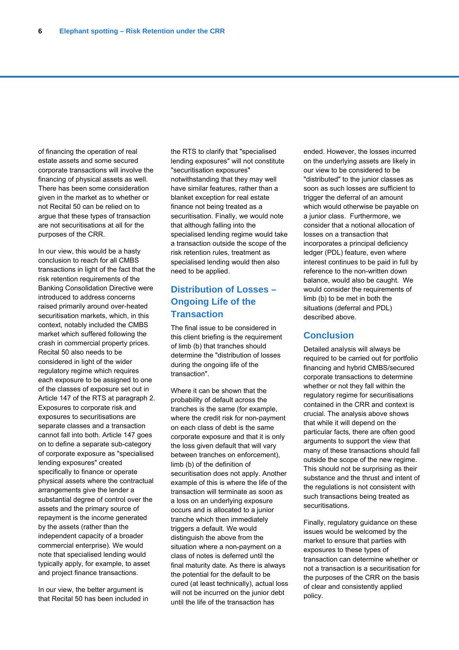of financing the operation of real estate assets and some secured corporate transactions will involve the financing of physical assets as well. There has been some consideration given in the market as to whether or not Recital 50 can be relied on to argue that these types of transaction are not securitisations at all for the purposes of the CRR.

In our view, this would be a hasty conclusion to reach for all CMBS transactions in light of the fact that the risk retention requirements of the Banking Consolidation Directive were introduced to address concerns raised primarily around over-heated securitisation markets, which, in this context, notably included the CMBS market which suffered following the crash in commercial property prices. Recital 50 also needs to be considered in light of the wider regulatory regime which requires each exposure to be assigned to one of the classes of exposure set out in Article 147 of the RTS at paragraph 2. Exposures to corporate risk and exposures to securitisations are separate classes and a transaction cannot fall into both. Article 147 goes on to define a separate sub-category of corporate exposure as "specialised lending exposures" created specifically to finance or operate physical assets where the contractual arrangements give the lender a substantial degree of control over the assets and the primary source of repayment is the income generated by the assets (rather than the independent capacity of a broader commercial enterprise). We would note that specialised lending would typically apply, for example, to asset and project finance transactions.

In our view, the better argument is that Recital 50 has been included in the RTS to clarify that "specialised lending exposures" will not constitute "securitisation exposures" notwithstanding that they may well have similar features, rather than a blanket exception for real estate finance not being treated as a securitisation. Finally, we would note that although falling into the specialised lending regime would take a transaction outside the scope of the risk retention rules, treatment as specialised lending would then also need to be applied.

# **Distribution of Losses – Ongoing Life of the Transaction**

The final issue to be considered in this client briefing is the requirement of limb (b) that tranches should determine the "distribution of losses during the ongoing life of the transaction".

Where it can be shown that the probability of default across the tranches is the same (for example, where the credit risk for non-payment on each class of debt is the same corporate exposure and that it is only the loss given default that will vary between tranches on enforcement), limb (b) of the definition of securitisation does not apply. Another example of this is where the life of the transaction will terminate as soon as a loss on an underlying exposure occurs and is allocated to a junior tranche which then immediately triggers a default. We would distinguish the above from the situation where a non-payment on a class of notes is deferred until the final maturity date. As there is always the potential for the default to be cured (at least technically), actual loss will not be incurred on the junior debt until the life of the transaction has

ended. However, the losses incurred on the underlying assets are likely in our view to be considered to be "distributed" to the junior classes as soon as such losses are sufficient to trigger the deferral of an amount which would otherwise be payable on a junior class. Furthermore, we consider that a notional allocation of losses on a transaction that incorporates a principal deficiency ledger (PDL) feature, even where interest continues to be paid in full by reference to the non-written down balance, would also be caught. We would consider the requirements of limb (b) to be met in both the situations (deferral and PDL) described above.

### **Conclusion**

Detailed analysis will always be required to be carried out for portfolio financing and hybrid CMBS/secured corporate transactions to determine whether or not they fall within the regulatory regime for securitisations contained in the CRR and context is crucial. The analysis above shows that while it will depend on the particular facts, there are often good arguments to support the view that many of these transactions should fall outside the scope of the new regime. This should not be surprising as their substance and the thrust and intent of the regulations is not consistent with such transactions being treated as securitisations.

Finally, regulatory guidance on these issues would be welcomed by the market to ensure that parties with exposures to these types of transaction can determine whether or not a transaction is a securitisation for the purposes of the CRR on the basis of clear and consistently applied policy.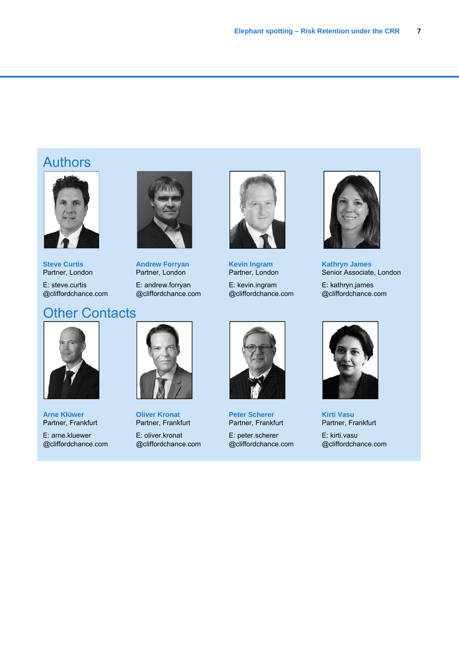# **Authors**



**Steve Curtis**  Partner, London

E: steve.curtis @cliffordchance.com

# **Other Contacts**



**Andrew Forryan**  Partner, London

E: andrew.forryan @cliffordchance.com



**Kevin Ingram**  Partner, London

E: kevin.ingram @cliffordchance.com



**Kathryn James**  Senior Associate, London

E: kathryn.james @cliffordchance.com



**Arne Klüwer**  Partner, Frankfurt E: arne.kluewer @cliffordchance.com



**Oliver Kronat**  Partner, Frankfurt E: oliver.kronat @cliffordchance.com



**Peter Scherer**  Partner, Frankfurt E: peter.scherer @cliffordchance.com



**Kirti Vasu**  Partner, Frankfurt E: kirti.vasu @cliffordchance.com